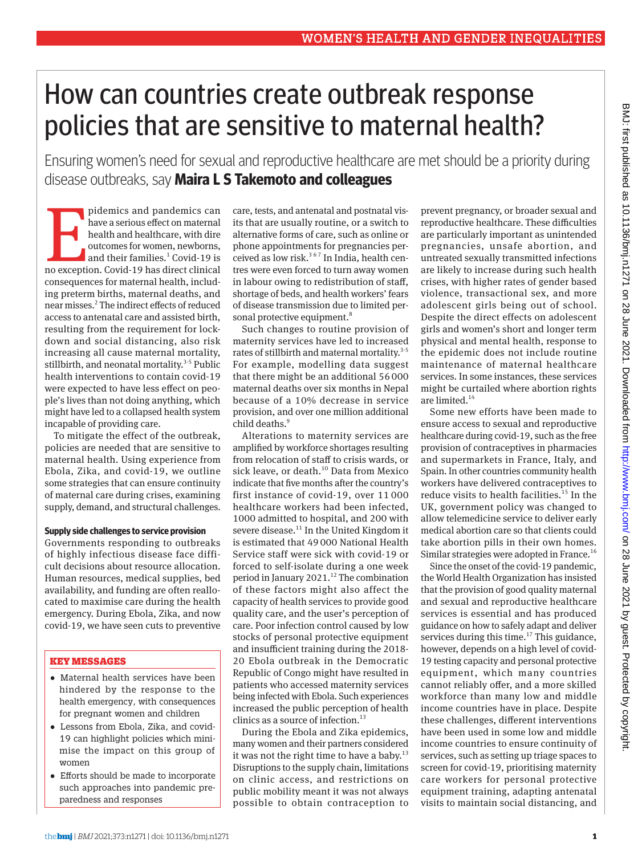# How can countries create outbreak response policies that are sensitive to maternal health?

Ensuring women's need for sexual and reproductive healthcare are met should be a priority during disease outbreaks, say **Maira L S Takemoto and colleagues** 

pidemics and pandemics can<br>have a serious effect on maternal<br>health and healthcare, with dire<br>outcomes for women, newborns,<br>and their families.<sup>1</sup> Covid-19 is<br>no exception. Covid-19 has direct clinical pidemics and pandemics can have a serious effect on maternal health and healthcare, with dire outcomes for women, newborns, and their families.<sup>1</sup> Covid-19 is consequences for maternal health, including preterm births, maternal deaths, and near misses.<sup>2</sup> The indirect effects of reduced access to antenatal care and assisted birth, resulting from the requirement for lockdown and social distancing, also risk increasing all cause maternal mortality, stillbirth, and neonatal mortality. $3-5$  Public health interventions to contain covid-19 were expected to have less effect on people's lives than not doing anything, which might have led to a collapsed health system incapable of providing care.

To mitigate the effect of the outbreak, policies are needed that are sensitive to maternal health. Using experience from Ebola, Zika, and covid-19, we outline some strategies that can ensure continuity of maternal care during crises, examining supply, demand, and structural challenges.

#### **Supply side challenges to service provision**

Governments responding to outbreaks of highly infectious disease face difficult decisions about resource allocation. Human resources, medical supplies, bed availability, and funding are often reallocated to maximise care during the health emergency. During Ebola, Zika, and now covid-19, we have seen cuts to preventive

#### KEY MESSAGES

- •  Maternal health services have been hindered by the response to the health emergency, with consequences for pregnant women and children
- •  Lessons from Ebola, Zika, and covid-19 can highlight policies which minimise the impact on this group of women
- •  Efforts should be made to incorporate such approaches into pandemic preparedness and responses

care, tests, and antenatal and postnatal visits that are usually routine, or a switch to alternative forms of care, such as online or phone appointments for pregnancies perceived as low risk.<sup>367</sup> In India, health centres were even forced to turn away women in labour owing to redistribution of staff, shortage of beds, and health workers' fears of disease transmission due to limited personal protective equipment.<sup>8</sup>

Such changes to routine provision of maternity services have led to increased rates of stillbirth and maternal mortality.<sup>3-5</sup> For example, modelling data suggest that there might be an additional 56000 maternal deaths over six months in Nepal because of a 10% decrease in service provision, and over one million additional child deaths.<sup>9</sup>

Alterations to maternity services are amplified by workforce shortages resulting from relocation of staff to crisis wards, or sick leave, or death.<sup>10</sup> Data from Mexico indicate that five months after the country's first instance of covid-19, over 11 000 healthcare workers had been infected, 1000 admitted to hospital, and 200 with severe disease.<sup>11</sup> In the United Kingdom it is estimated that 49 000 National Health Service staff were sick with covid-19 or forced to self-isolate during a one week period in January 2021.<sup>12</sup> The combination of these factors might also affect the capacity of health services to provide good quality care, and the user's perception of care. Poor infection control caused by low stocks of personal protective equipment and insufficient training during the 2018- 20 Ebola outbreak in the Democratic Republic of Congo might have resulted in patients who accessed maternity services being infected with Ebola. Such experiences increased the public perception of health clinics as a source of infection. $13$ 

During the Ebola and Zika epidemics, many women and their partners considered it was not the right time to have a baby.<sup>13</sup> Disruptions to the supply chain, limitations on clinic access, and restrictions on public mobility meant it was not always possible to obtain contraception to

prevent pregnancy, or broader sexual and reproductive healthcare. These difficulties are particularly important as unintended pregnancies, unsafe abortion, and untreated sexually transmitted infections are likely to increase during such health crises, with higher rates of gender based violence, transactional sex, and more adolescent girls being out of school. Despite the direct effects on adolescent girls and women's short and longer term physical and mental health, response to the epidemic does not include routine maintenance of maternal healthcare services. In some instances, these services might be curtailed where abortion rights are limited.<sup>14</sup>

Some new efforts have been made to ensure access to sexual and reproductive healthcare during covid-19, such as the free provision of contraceptives in pharmacies and supermarkets in France, Italy, and Spain. In other countries community health workers have delivered contraceptives to reduce visits to health facilities.<sup>15</sup> In the UK, government policy was changed to allow telemedicine service to deliver early medical abortion care so that clients could take abortion pills in their own homes. Similar strategies were adopted in France.<sup>16</sup>

Since the onset of the covid-19 pandemic, the World Health Organization has insisted that the provision of good quality maternal and sexual and reproductive healthcare services is essential and has produced guidance on how to safely adapt and deliver services during this time.<sup>17</sup> This guidance, however, depends on a high level of covid-19 testing capacity and personal protective equipment, which many countries cannot reliably offer, and a more skilled workforce than many low and middle income countries have in place. Despite these challenges, different interventions have been used in some low and middle income countries to ensure continuity of services, such as setting up triage spaces to screen for covid-19, prioritising maternity care workers for personal protective equipment training, adapting antenatal visits to maintain social distancing, and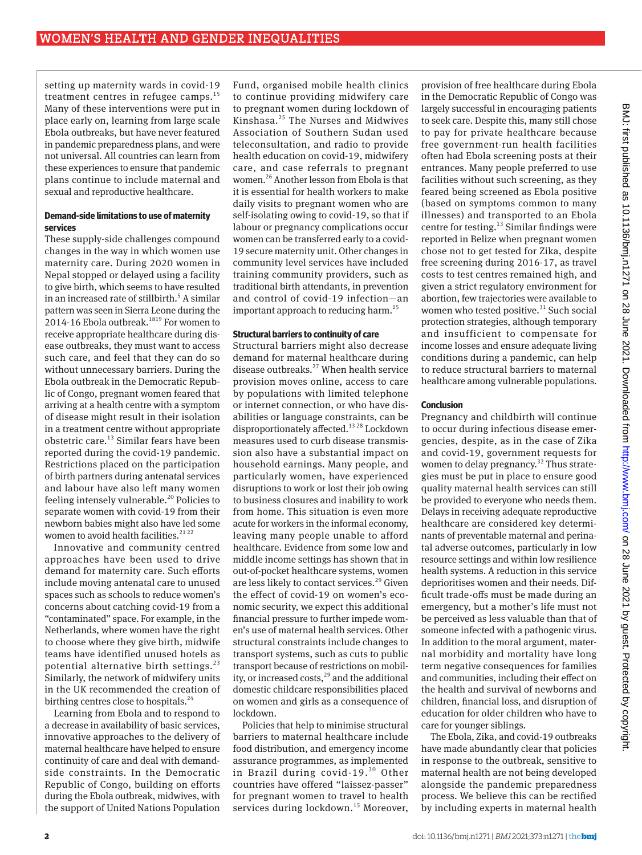setting up maternity wards in covid-19 treatment centres in refugee camps. $^{15}$ Many of these interventions were put in place early on, learning from large scale Ebola outbreaks, but have never featured in pandemic preparedness plans, and were not universal. All countries can learn from these experiences to ensure that pandemic plans continue to include maternal and sexual and reproductive healthcare.

#### **Demand-side limitations to use of maternity services**

These supply-side challenges compound changes in the way in which women use maternity care. During 2020 women in Nepal stopped or delayed using a facility to give birth, which seems to have resulted in an increased rate of stillbirth.<sup>5</sup> A similar pattern was seen in Sierra Leone during the  $2014-16$  Ebola outbreak.<sup>1819</sup> For women to receive appropriate healthcare during disease outbreaks, they must want to access such care, and feel that they can do so without unnecessary barriers. During the Ebola outbreak in the Democratic Republic of Congo, pregnant women feared that arriving at a health centre with a symptom of disease might result in their isolation in a treatment centre without appropriate obstetric care. $^{13}$  Similar fears have been reported during the covid-19 pandemic. Restrictions placed on the participation of birth partners during antenatal services and labour have also left many women feeling intensely vulnerable.<sup>20</sup> Policies to separate women with covid-19 from their newborn babies might also have led some women to avoid health facilities.<sup>21 22</sup>

Innovative and community centred approaches have been used to drive demand for maternity care. Such efforts include moving antenatal care to unused spaces such as schools to reduce women's concerns about catching covid-19 from a "contaminated" space. For example, in the Netherlands, where women have the right to choose where they give birth, midwife teams have identified unused hotels as potential alternative birth settings. $^{23}$ Similarly, the network of midwifery units in the UK recommended the creation of birthing centres close to hospitals. $^{24}$ 

Learning from Ebola and to respond to a decrease in availability of basic services, innovative approaches to the delivery of maternal healthcare have helped to ensure continuity of care and deal with demandside constraints. In the Democratic Republic of Congo, building on efforts during the Ebola outbreak, midwives, with the support of United Nations Population

Fund, organised mobile health clinics to continue providing midwifery care to pregnant women during lockdown of Kinshasa.25 The Nurses and Midwives Association of Southern Sudan used teleconsultation, and radio to provide health education on covid-19, midwifery care, and case referrals to pregnant women.26 Another lesson from Ebola is that it is essential for health workers to make daily visits to pregnant women who are self-isolating owing to covid-19, so that if labour or pregnancy complications occur women can be transferred early to a covid-19 secure maternity unit. Other changes in community level services have included training community providers, such as traditional birth attendants, in prevention and control of covid-19 infection—an important approach to reducing harm.<sup>15</sup>

#### **Structural barriers to continuity of care**

Structural barriers might also decrease demand for maternal healthcare during disease outbreaks.27 When health service provision moves online, access to care by populations with limited telephone or internet connection, or who have disabilities or language constraints, can be disproportionately affected.<sup>13 28</sup> Lockdown measures used to curb disease transmission also have a substantial impact on household earnings. Many people, and particularly women, have experienced disruptions to work or lost their job owing to business closures and inability to work from home. This situation is even more acute for workers in the informal economy, leaving many people unable to afford healthcare. Evidence from some low and middle income settings has shown that in out-of-pocket healthcare systems, women are less likely to contact services.<sup>29</sup> Given the effect of covid-19 on women's economic security, we expect this additional financial pressure to further impede women's use of maternal health services. Other structural constraints include changes to transport systems, such as cuts to public transport because of restrictions on mobility, or increased costs,<sup>29</sup> and the additional domestic childcare responsibilities placed on women and girls as a consequence of lockdown.

Policies that help to minimise structural barriers to maternal healthcare include food distribution, and emergency income assurance programmes, as implemented in Brazil during covid-19.30 Other countries have offered "laissez-passer" for pregnant women to travel to health services during lockdown.<sup>15</sup> Moreover,

provision of free healthcare during Ebola in the Democratic Republic of Congo was largely successful in encouraging patients to seek care. Despite this, many still chose to pay for private healthcare because free government-run health facilities often had Ebola screening posts at their entrances. Many people preferred to use facilities without such screening, as they feared being screened as Ebola positive (based on symptoms common to many illnesses) and transported to an Ebola centre for testing.<sup>13</sup> Similar findings were reported in Belize when pregnant women chose not to get tested for Zika, despite free screening during 2016-17, as travel costs to test centres remained high, and given a strict regulatory environment for abortion, few trajectories were available to women who tested positive.<sup>31</sup> Such social protection strategies, although temporary and insufficient to compensate for income losses and ensure adequate living conditions during a pandemic, can help to reduce structural barriers to maternal healthcare among vulnerable populations.

#### **Conclusion**

Pregnancy and childbirth will continue to occur during infectious disease emergencies, despite, as in the case of Zika and covid-19, government requests for women to delay pregnancy.<sup>32</sup> Thus strategies must be put in place to ensure good quality maternal health services can still be provided to everyone who needs them. Delays in receiving adequate reproductive healthcare are considered key determinants of preventable maternal and perinatal adverse outcomes, particularly in low resource settings and within low resilience health systems. A reduction in this service deprioritises women and their needs. Difficult trade-offs must be made during an emergency, but a mother's life must not be perceived as less valuable than that of someone infected with a pathogenic virus. In addition to the moral argument, maternal morbidity and mortality have long term negative consequences for families and communities, including their effect on the health and survival of newborns and children, financial loss, and disruption of education for older children who have to care for younger siblings.

The Ebola, Zika, and covid-19 outbreaks have made abundantly clear that policies in response to the outbreak, sensitive to maternal health are not being developed alongside the pandemic preparedness process. We believe this can be rectified by including experts in maternal health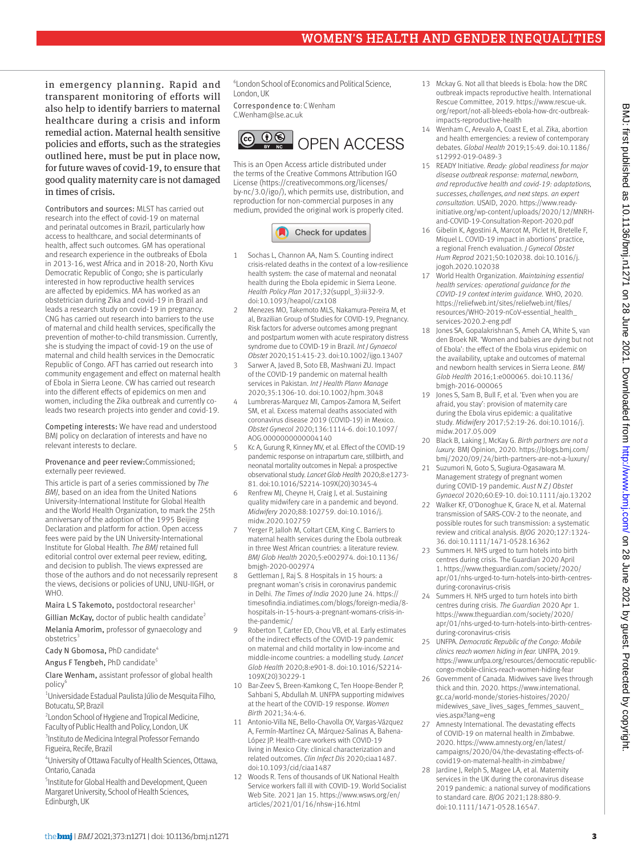## WOMEN'S HEALTH AND GENDER INEQUALITIES

in emergency planning. Rapid and transparent monitoring of efforts will also help to identify barriers to maternal healthcare during a crisis and inform remedial action. Maternal health sensitive policies and efforts, such as the strategies outlined here, must be put in place now, for future waves of covid-19, to ensure that good quality maternity care is not damaged in times of crisis.

Contributors and sources: MLST has carried out research into the effect of covid-19 on maternal and perinatal outcomes in Brazil, particularly how access to healthcare, and social determinants of health, affect such outcomes. GM has operational and research experience in the outbreaks of Ebola in 2013-16, west Africa and in 2018-20, North Kivu Democratic Republic of Congo; she is particularly interested in how reproductive health services are affected by epidemics. MA has worked as an obstetrician during Zika and covid-19 in Brazil and leads a research study on covid-19 in pregnancy. CNG has carried out research into barriers to the use of maternal and child health services, specifically the prevention of mother-to-child transmission. Currently, she is studying the impact of covid-19 on the use of maternal and child health services in the Democratic Republic of Congo. AFT has carried out research into community engagement and effect on maternal health of Ebola in Sierra Leone. CW has carried out research into the different effects of epidemics on men and women, including the Zika outbreak and currently coleads two research projects into gender and covid-19.

Competing interests: We have read and understood BMJ policy on declaration of interests and have no relevant interests to declare.

#### Provenance and peer review:Commissioned; externally peer reviewed.

This article is part of a series commissioned by *The BMJ*, based on an idea from the United Nations University-International Institute for Global Health and the World Health Organization, to mark the 25th anniversary of the adoption of the 1995 Beijing Declaration and platform for action. Open access fees were paid by the UN University-International Institute for Global Health. *The BMJ* retained full editorial control over external peer review, editing, and decision to publish. The views expressed are those of the authors and do not necessarily represent the views, decisions or policies of UNU, UNU-IIGH, or **WHO** 

Maira L S Takemoto, postdoctoral researcher<sup>1</sup>

Gillian McKay, doctor of public health candidate<sup>2</sup> Melania Amorim, professor of gynaecology and obstetrics

Cady N Gbomosa, PhD candidate<sup>4</sup>

Angus F Tengbeh, PhD candidate<sup>5</sup>

Clare Wenham, assistant professor of global health policy

1 Universidade Estadual Paulista Júlio de Mesquita Filho, Botucatu, SP, Brazil

<sup>2</sup> London School of Hygiene and Tropical Medicine, Faculty of Public Health and Policy, London, UK

3 Instituto de Medicina Integral Professor Fernando Figueira, Recife, Brazil

4 University of Ottawa Faculty of Health Sciences, Ottawa, Ontario, Canada

5 Institute for Global Health and Development, Queen Margaret University, School of Health Sciences, Edinburgh, UK

6 London School of Economics and Political Science, London, UK

Correspondence to: C Wenham [C.Wenham@lse.ac.uk](mailto:C.Wenham@lse.ac.uk)



This is an Open Access article distributed under the terms of the Creative Commons Attribution IGO License (https://creativecommons.org/licenses/ by-nc/3.0/igo/), which permits use, distribution, and reproduction for non-commercial purposes in any medium, provided the original work is properly cited.

### Check for updates

- 1 Sochas L, Channon AA, Nam S. Counting indirect crisis-related deaths in the context of a low-resilience health system: the case of maternal and neonatal health during the Ebola epidemic in Sierra Leone. *Health Policy Plan* 2017;32(suppl\_3):iii32-9. doi:10.1093/heapol/czx108
- 2 Menezes MO, Takemoto MLS, Nakamura-Pereira M, et al, Brazilian Group of Studies for COVID-19, Pregnancy. Risk factors for adverse outcomes among pregnant and postpartum women with acute respiratory distress syndrome due to COVID-19 in Brazil. *Int J Gynaecol Obstet* 2020;151:415-23. doi:10.1002/ijgo.13407
- Sarwer A, Javed B, Soto EB, Mashwani ZU. Impact of the COVID-19 pandemic on maternal health services in Pakistan. *Int J Health Plann Manage*  2020;35:1306-10. doi:10.1002/hpm.3048
- 4 Lumbreras-Marquez MI, Campos-Zamora M, Seifert SM, et al. Excess maternal deaths associated with coronavirus disease 2019 (COVID-19) in Mexico. *Obstet Gynecol* 2020;136:1114-6. doi:10.1097/ AOG.0000000000004140
- 5 Kc A, Gurung R, Kinney MV, et al. Effect of the COVID-19 pandemic response on intrapartum care, stillbirth, and neonatal mortality outcomes in Nepal: a prospective observational study. *Lancet Glob Health* 2020;8:e1273- 81. doi:10.1016/S2214-109X(20)30345-4
- Renfrew MJ, Cheyne H, Craig J, et al. Sustaining quality midwifery care in a pandemic and beyond. *Midwifery* 2020;88:102759. doi:10.1016/j. midw.2020.102759
- Yerger P, Jalloh M, Coltart CEM, King C. Barriers to maternal health services during the Ebola outbreak in three West African countries: a literature review. *BMJ Glob Health* 2020;5:e002974. doi:10.1136/ bmjgh-2020-002974
- Gettleman J, Raj S. 8 Hospitals in 15 hours: a pregnant woman's crisis in coronavirus pandemic in Delhi. *The Times of India* 2020 June 24. [https://](https://timesofindia.indiatimes.com/blogs/foreign-media/8-hospitals-in-15-hours-a-pregnant-womans-crisis-in-the-pandemic/) [timesofindia.indiatimes.com/blogs/foreign-media/8](https://timesofindia.indiatimes.com/blogs/foreign-media/8-hospitals-in-15-hours-a-pregnant-womans-crisis-in-the-pandemic/) [hospitals-in-15-hours-a-pregnant-womans-crisis-in](https://timesofindia.indiatimes.com/blogs/foreign-media/8-hospitals-in-15-hours-a-pregnant-womans-crisis-in-the-pandemic/)[the-pandemic/](https://timesofindia.indiatimes.com/blogs/foreign-media/8-hospitals-in-15-hours-a-pregnant-womans-crisis-in-the-pandemic/)
- Roberton T, Carter ED, Chou VB, et al. Early estimates of the indirect effects of the COVID-19 pandemic on maternal and child mortality in low-income and middle-income countries: a modelling study. *Lancet Glob Health* 2020;8:e901-8. doi:10.1016/S2214- 109X(20)30229-1
- 10 Bar-Zeev S, Breen-Kamkong C, Ten Hoope-Bender P, Sahbani S, Abdullah M. UNFPA supporting midwives at the heart of the COVID-19 response. *Women Birth* 2021;34:4-6.
- 11 Antonio-Villa NE, Bello-Chavolla OY, Vargas-Vázquez A, Fermín-Martínez CA, Márquez-Salinas A, Bahena-López JP. Health-care workers with COVID-19 living in Mexico City: clinical characterization and related outcomes. *Clin Infect Dis* 2020;ciaa1487. doi:10.1093/cid/ciaa1487
- 12 Woods R. Tens of thousands of UK National Health Service workers fall ill with COVID-19. World Socialist Web Site. 2021 Jan 15. [https://www.wsws.org/en/](https://www.wsws.org/en/articles/2021/01/16/nhsw-j16.html) [articles/2021/01/16/nhsw-j16.html](https://www.wsws.org/en/articles/2021/01/16/nhsw-j16.html)
- 13 Mckay G. Not all that bleeds is Ebola: how the DRC outbreak impacts reproductive health. International Rescue Committee, 2019. [https://www.rescue-uk.](https://www.rescue-uk.org/report/not-all-bleeds-ebola-how-drc-outbreak-impacts-reproductive-health) [org/report/not-all-bleeds-ebola-how-drc-outbreak](https://www.rescue-uk.org/report/not-all-bleeds-ebola-how-drc-outbreak-impacts-reproductive-health)[impacts-reproductive-health](https://www.rescue-uk.org/report/not-all-bleeds-ebola-how-drc-outbreak-impacts-reproductive-health)
- 14 Wenham C, Arevalo A, Coast E, et al. Zika, abortion and health emergencies: a review of contemporary debates. *Global Health* 2019;15:49. doi:10.1186/ s12992-019-0489-3
- 15 READY Initiative. *Ready: global readiness for major disease outbreak response: maternal, newborn, and reproductive health and covid-19: adaptations, successes, challenges, and next steps. an expert consultation.* USAID, 2020. [https://www.ready](https://www.ready-)[initiative.org/wp-content/uploads/2020/12/MNRH](https://www.ready-)[and-COVID-19-Consultation-Report-2020.pdf](https://www.ready-)
- 16 Gibelin K, Agostini A, Marcot M, Piclet H, Bretelle F, Miquel L. COVID-19 impact in abortions' practice, a regional French evaluation. *J Gynecol Obstet Hum Reprod* 2021;50:102038. doi:10.1016/j. jogoh.2020.102038
- 17 World Health Organization. *Maintaining essential health services: operational guidance for the COVID-19 context interim guidance.* WHO, 2020. [https://reliefweb.int/sites/reliefweb.int/files/](https://reliefweb.int/sites/reliefweb.int/files/resources/WHO-2019-nCoV-essential_health_services-2020.2-eng.pdf) [resources/WHO-2019-nCoV-essential\\_health\\_](https://reliefweb.int/sites/reliefweb.int/files/resources/WHO-2019-nCoV-essential_health_services-2020.2-eng.pdf) [services-2020.2-eng.pdf](https://reliefweb.int/sites/reliefweb.int/files/resources/WHO-2019-nCoV-essential_health_services-2020.2-eng.pdf)
- 18 Jones SA, Gopalakrishnan S, Ameh CA, White S, van den Broek NR. 'Women and babies are dying but not of Ebola': the effect of the Ebola virus epidemic on the availability, uptake and outcomes of maternal and newborn health services in Sierra Leone. *BMJ Glob Health* 2016;1:e000065. doi:10.1136/ bmjgh-2016-000065
- 19 Jones S, Sam B, Bull F, et al. 'Even when you are afraid, you stay': provision of maternity care during the Ebola virus epidemic: a qualitative study. *Midwifery* 2017;52:19-26. doi:10.1016/j. midw.2017.05.009
- 20 Black B, Laking J, McKay G. *Birth partners are not a luxury.* BMJ Opinion, 2020. [https://blogs.bmj.com/](https://blogs.bmj.com/bmj/2020/09/24/birth-partners-are-not-a-luxury/) [bmj/2020/09/24/birth-partners-are-not-a-luxury/](https://blogs.bmj.com/bmj/2020/09/24/birth-partners-are-not-a-luxury/)
- 21 Suzumori N, Goto S, Sugiura-Ogasawara M. Management strategy of pregnant women during COVID-19 pandemic. *Aust N Z J Obstet Gynaecol* 2020;60:E9-10. doi:10.1111/ajo.13202
- 22 Walker KF, O'Donoghue K, Grace N, et al. Maternal transmission of SARS-COV-2 to the neonate, and possible routes for such transmission: a systematic review and critical analysis. *BJOG* 2020;127:1324- 36. doi:10.1111/1471-0528.16362
- 23 Summers H. NHS urged to turn hotels into birth centres during crisis. The Guardian 2020 April 1. [https://www.theguardian.com/society/2020/](https://www.theguardian.com/society/2020/apr/01/nhs-urged-to-turn-hotels-into-birth-centres-during-coronavirus-crisis) [apr/01/nhs-urged-to-turn-hotels-into-birth-centres](https://www.theguardian.com/society/2020/apr/01/nhs-urged-to-turn-hotels-into-birth-centres-during-coronavirus-crisis)[during-coronavirus-crisis](https://www.theguardian.com/society/2020/apr/01/nhs-urged-to-turn-hotels-into-birth-centres-during-coronavirus-crisis)
- 24 Summers H. NHS urged to turn hotels into birth centres during crisis. *The Guardian* 2020 Apr 1. [https://www.theguardian.com/society/2020/](https://www.theguardian.com/society/2020/apr/01/nhs-urged-to-turn-hotels-into-birth-centres-during-coronavirus-crisis) [apr/01/nhs-urged-to-turn-hotels-into-birth-centres](https://www.theguardian.com/society/2020/apr/01/nhs-urged-to-turn-hotels-into-birth-centres-during-coronavirus-crisis)[during-coronavirus-crisis](https://www.theguardian.com/society/2020/apr/01/nhs-urged-to-turn-hotels-into-birth-centres-during-coronavirus-crisis)
- 25 UNFPA. *Democratic Republic of the Congo: Mobile clinics reach women hiding in fear.* UNFPA, 2019. [https://www.unfpa.org/resources/democratic-republic](https://www.unfpa.org/resources/democratic-republic-congo-mobile-clinics-reach-women-hiding-fear)[congo-mobile-clinics-reach-women-hiding-fear](https://www.unfpa.org/resources/democratic-republic-congo-mobile-clinics-reach-women-hiding-fear)
- 26 Government of Canada. Midwives save lives through thick and thin. 2020. [https://www.international.](https://www.international.gc.ca/world-monde/stories-histoires/2020/midewives_save_lives_sages_femmes_sauvent_vies.aspx?lang=eng) [gc.ca/world-monde/stories-histoires/2020/](https://www.international.gc.ca/world-monde/stories-histoires/2020/midewives_save_lives_sages_femmes_sauvent_vies.aspx?lang=eng) [midewives\\_save\\_lives\\_sages\\_femmes\\_sauvent\\_](https://www.international.gc.ca/world-monde/stories-histoires/2020/midewives_save_lives_sages_femmes_sauvent_vies.aspx?lang=eng) [vies.aspx?lang=eng](https://www.international.gc.ca/world-monde/stories-histoires/2020/midewives_save_lives_sages_femmes_sauvent_vies.aspx?lang=eng)
- 27 Amnesty International. The devastating effects of COVID-19 on maternal health in Zimbabwe. 2020. [https://www.amnesty.org/en/latest/](https://www.amnesty.org/en/latest/campaigns/2020/04/the-devastating-effects-of-covid19-on-maternal-health-in-zimbabwe/) [campaigns/2020/04/the-devastating-effects-of](https://www.amnesty.org/en/latest/campaigns/2020/04/the-devastating-effects-of-covid19-on-maternal-health-in-zimbabwe/)[covid19-on-maternal-health-in-zimbabwe/](https://www.amnesty.org/en/latest/campaigns/2020/04/the-devastating-effects-of-covid19-on-maternal-health-in-zimbabwe/)
- 28 Jardine J, Relph S, Magee LA, et al. Maternity services in the UK during the coronavirus disease 2019 pandemic: a national survey of modifications to standard care. *BJOG* 2021;128:880-9. doi:10.1111/1471-0528.16547.